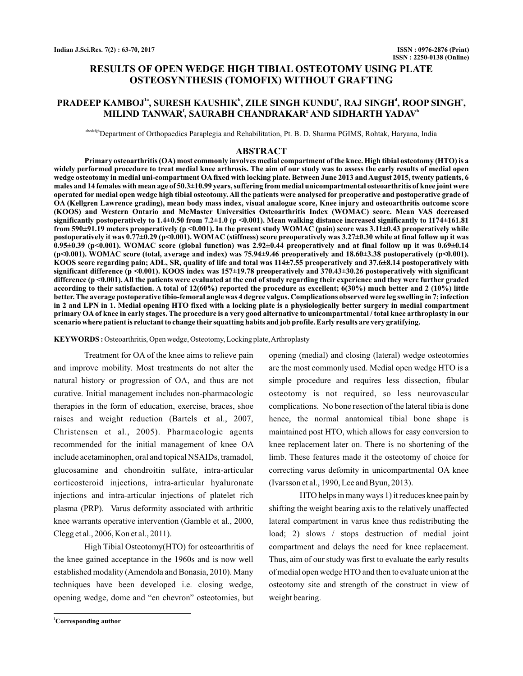# **RESULTS OF OPEN WEDGE HIGH TIBIAL OSTEOTOMY USING PLATE OSTEOSYNTHESIS (TOMOFIX) WITHOUT GRAFTING**

# PRADEEP KAMBOJ<sup>1a</sup>, SURESH KAUSHIK<sup>b</sup>, ZILE SINGH KUNDU', RAJ SINGH<sup>a</sup>, ROOP SINGH',  $\mathbf{MILIND}$  TANWAR $^{\mathsf{f}}$ , SAURABH CHANDRAKAR $^{\mathsf{g}}$  AND SIDHARTH YADAV $^{\mathsf{h}}$

abcdefghDepartment of Orthopaedics Paraplegia and Rehabilitation, Pt. B. D. Sharma PGIMS, Rohtak, Haryana, India

### **ABSTRACT**

**Primary osteoarthritis (OA) most commonly involves medial compartment of the knee. High tibial osteotomy (HTO) is a widely performed procedure to treat medial knee arthrosis. The aim of our study was to assess the early results of medial open wedge osteotomy in medial uni-compartment OA fixed with locking plate. Between June 2013 and August 2015, twenty patients, 6 males and 14 females with mean age of 50.3±10.99 years, suffering from medial unicompartmental osteoarthritis of knee joint were operated for medial open wedge high tibial osteotomy. All the patients were analysed for preoperative and postoperative grade of OA (Kellgren Lawrence grading), mean body mass index, visual analogue score, Knee injury and osteoarthritis outcome score (KOOS) and Western Ontario and McMaster Universities Osteoarthritis Index (WOMAC) score. Mean VAS decreased significantly postoperatively to 1.4±0.50 from 7.2±1.0 (p <0.001). Mean walking distance increased significantly to 1174±161.81 from 590±91.19 meters preoperatively (p <0.001). In the present study WOMAC (pain) score was 3.11±0.43 preoperatively while postoperatively it was 0.77±0.29 (p<0.001). WOMAC (stiffness) score preoperatively was 3.27±0.30 while at final follow up it was**  $0.95\pm0.39$  (p<0.001). WOMAC score (global function) was  $2.92\pm0.44$  preoperatively and at final follow up it was  $0.69\pm0.14$ **(p<0.001). WOMAC score (total, average and index) was 75.94±9.46 preoperatively and 18.60±3.38 postoperatively (p<0.001). KOOS score regarding pain; ADL, SR, quality of life and total was 114±7.55 preoperatively and 37.6±8.14 postoperatively with significant difference (p <0.001). KOOS index was 157±19.78 preoperatively and 370.43±30.26 postoperatively with significant difference (p <0.001). All the patients were evaluated at the end of study regarding their experience and they were further graded according to their satisfaction. A total of 12(60%) reported the procedure as excellent; 6(30%) much better and 2 (10%) little better. The average postoperative tibio-femoral angle was 4 degree valgus. Complications observed were leg swelling in 7; infection in 2 and LPN in 1. Medial opening HTO fixed with a locking plate is a physiologically better surgery in medial compartment primary OA of knee in early stages. The procedure is a very good alternative to unicompartmental / total knee arthroplasty in our scenario where patient is reluctant to change their squatting habits and job profile. Early results are very gratifying.**

KEYWORDS: Osteoarthritis, Open wedge, Osteotomy, Locking plate, Arthroplasty

Treatment for OA of the knee aims to relieve pain and improve mobility. Most treatments do not alter the natural history or progression of OA, and thus are not curative. Initial management includes non-pharmacologic therapies in the form of education, exercise, braces, shoe raises and weight reduction (Bartels et al., 2007, Christensen et al., 2005). Pharmacologic agents recommended for the initial management of knee OA include acetaminophen, oral and topical NSAIDs, tramadol, glucosamine and chondroitin sulfate, intra-articular corticosteroid injections, intra-articular hyaluronate injections and intra-articular injections of platelet rich plasma (PRP). Varus deformity associated with arthritic knee warrants operative intervention (Gamble et al., 2000, Clegg et al., 2006, Kon et al., 2011).

High Tibial Osteotomy(HTO) for osteoarthritis of the knee gained acceptance in the 1960s and is now well established modality (Amendola and Bonasia, 2010). Many techniques have been developed i.e. closing wedge, opening wedge, dome and "en chevron" osteotomies, but

opening (medial) and closing (lateral) wedge osteotomies are the most commonly used. Medial open wedge HTO is a simple procedure and requires less dissection, fibular osteotomy is not required, so less neurovascular complications. No bone resection of the lateral tibia is done hence, the normal anatomical tibial bone shape is maintained post HTO, which allows for easy conversion to knee replacement later on. There is no shortening of the limb. These features made it the osteotomy of choice for correcting varus defomity in unicompartmental OA knee (Ivarsson et al., 1990, Lee and Byun, 2013).

HTO helps in many ways 1) it reduces knee pain by shifting the weight bearing axis to the relatively unaffected lateral compartment in varus knee thus redistributing the load; 2) slows / stops destruction of medial joint compartment and delays the need for knee replacement. Thus, aim of our study was first to evaluate the early results of medial open wedge HTO and then to evaluate union at the osteotomy site and strength of the construct in view of weight bearing.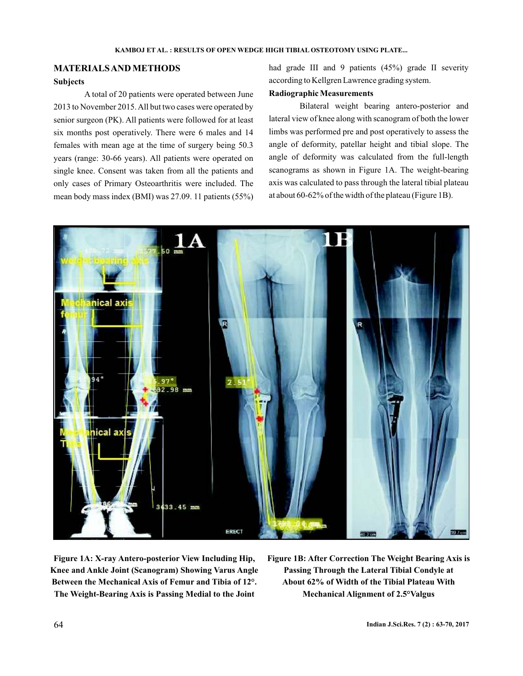# **MATERIALSANDMETHODS**

## **Subjects**

A total of 20 patients were operated between June 2013 to November 2015.All but two cases were operated by senior surgeon (PK). All patients were followed for at least six months post operatively. There were 6 males and 14 females with mean age at the time of surgery being 50.3 years (range: 30-66 years). All patients were operated on single knee. Consent was taken from all the patients and only cases of Primary Osteoarthritis were included. The mean body mass index (BMI) was 27.09. 11 patients (55%) had grade III and 9 patients (45%) grade II severity according to Kellgren Lawrence grading system.

## **RadiographicMeasurements**

Bilateral weight bearing antero-posterior and lateral view of knee along with scanogram of both the lower limbs was performed pre and post operatively to assess the angle of deformity, patellar height and tibial slope. The angle of deformity was calculated from the full-length scanograms as shown in Figure 1A. The weight-bearing axis was calculated to pass through the lateral tibial plateau at about 60-62% of the width of the plateau (Figure 1B).



**Figure 1A: X-ray Antero-posterior View Including Hip, Knee and Ankle Joint (Scanogram) Showing Varus Angle Between the Mechanical Axis of Femur and Tibia of 12°. The Weight-Bearing Axis is Passing Medial to the Joint**

**Figure 1B: After Correction The Weight Bearing Axis is Passing Through the Lateral Tibial Condyle at About 62% of Width of the Tibial Plateau With Mechanical Alignment of 2.5°Valgus**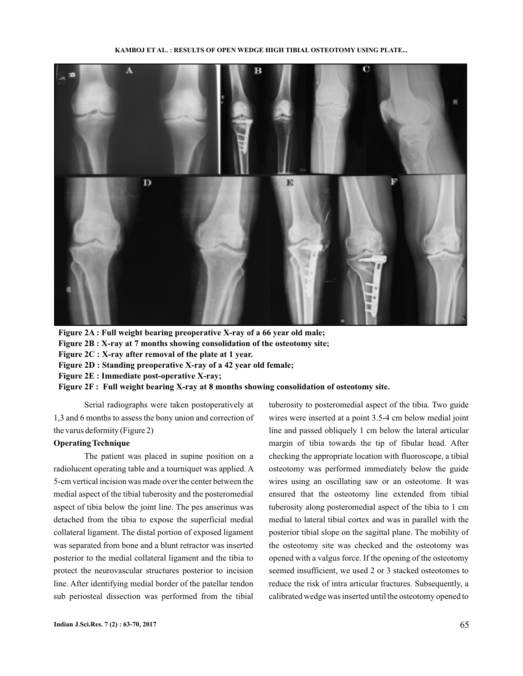**KAMBOJ ET AL. : RESULTS OF OPEN WEDGE HIGH TIBIAL OSTEOTOMY USING PLATE...**



**Figure 2A : Full weight bearing preoperative X-ray of a 66 year old male;**

**Figure 2B : X-ray at 7 months showing consolidation of the osteotomy site;**

**Figure 2C : X-ray after removal of the plate at 1 year.**

**Figure 2D : Standing preoperative X-ray of a 42 year old female;**

**Figure 2E : Immediate post-operative X-ray;**

**Figure 2F : Full weight bearing X-ray at 8 months showing consolidation of osteotomy site.**

Serial radiographs were taken postoperatively at 1,3 and 6 months to assess the bony union and correction of the varus deformity (Figure 2)

#### **OperatingTechnique**

The patient was placed in supine position on a radiolucent operating table and a tourniquet was applied. A 5-cm vertical incision was made over the center between the medial aspect of the tibial tuberosity and the posteromedial aspect of tibia below the joint line. The pes anserinus was detached from the tibia to expose the superficial medial collateral ligament. The distal portion of exposed ligament was separated from bone and a blunt retractor was inserted posterior to the medial collateral ligament and the tibia to protect the neurovascular structures posterior to incision line. After identifying medial border of the patellar tendon sub periosteal dissection was performed from the tibial tuberosity to posteromedial aspect of the tibia. Two guide wires were inserted at a point 3.5-4 cm below medial joint line and passed obliquely 1 cm below the lateral articular margin of tibia towards the tip of fibular head. After checking the appropriate location with fluoroscope, a tibial osteotomy was performed immediately below the guide wires using an oscillating saw or an osteotome. It was ensured that the osteotomy line extended from tibial tuberosity along posteromedial aspect of the tibia to 1 cm medial to lateral tibial cortex and was in parallel with the posterior tibial slope on the sagittal plane. The mobility of the osteotomy site was checked and the osteotomy was opened with a valgus force. If the opening of the osteotomy seemed insufficient, we used 2 or 3 stacked osteotomes to reduce the risk of intra articular fractures. Subsequently, a calibrated wedge was inserted until the osteotomy opened to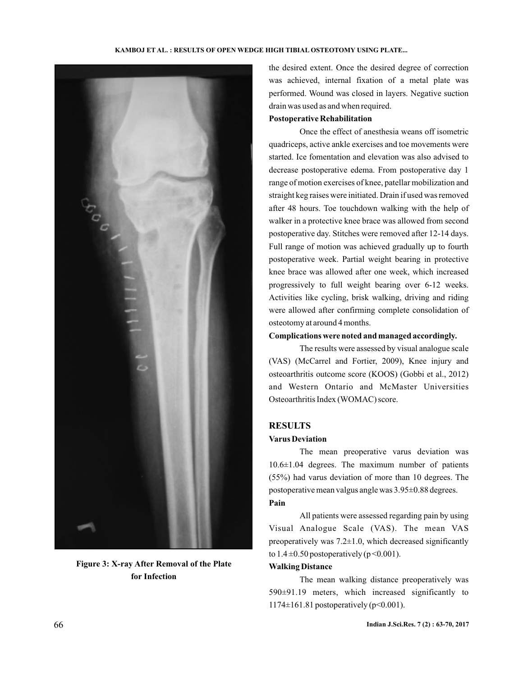

**Figure 3: X-ray After Removal of the Plate for Infection**

the desired extent. Once the desired degree of correction was achieved, internal fixation of a metal plate was performed. Wound was closed in layers. Negative suction drain was used as and when required.

### **Postoperative Rehabilitation**

Once the effect of anesthesia weans off isometric quadriceps, active ankle exercises and toe movements were started. Ice fomentation and elevation was also advised to decrease postoperative edema. From postoperative day 1 range of motion exercises of knee, patellar mobilization and straight keg raises were initiated. Drain if used was removed after 48 hours. Toe touchdown walking with the help of walker in a protective knee brace was allowed from second postoperative day. Stitches were removed after 12-14 days. Full range of motion was achieved gradually up to fourth postoperative week. Partial weight bearing in protective knee brace was allowed after one week, which increased progressively to full weight bearing over 6-12 weeks. Activities like cycling, brisk walking, driving and riding were allowed after confirming complete consolidation of osteotomy at around 4 months.

### **Complications were noted and managed accordingly.**

The results were assessed by visual analogue scale (VAS) (McCarrel and Fortier, 2009), Knee injury and osteoarthritis outcome score (KOOS) (Gobbi et al., 2012) and Western Ontario and McMaster Universities Osteoarthritis Index (WOMAC) score.

## **RESULTS**

### **Varus Deviation**

The mean preoperative varus deviation was 10.6±1.04 degrees. The maximum number of patients (55%) had varus deviation of more than 10 degrees. The postoperative mean valgus angle was 3.95±0.88 degrees. **Pain**

All patients were assessed regarding pain by using Visual Analogue Scale (VAS). The mean VAS preoperatively was  $7.2 \pm 1.0$ , which decreased significantly to  $1.4 \pm 0.50$  postoperatively (p < 0.001).

### **Walking Distance**

The mean walking distance preoperatively was 590±91.19 meters, which increased significantly to 1174±161.81 postoperatively (p<0.001).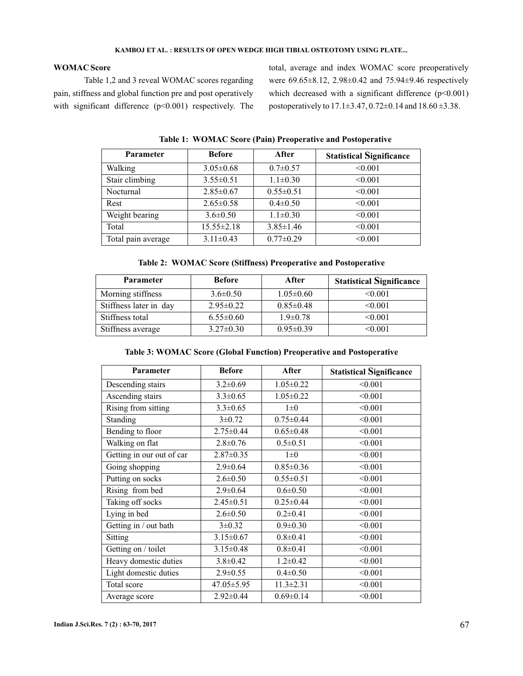### **KAMBOJ ET AL. : RESULTS OF OPEN WEDGE HIGH TIBIAL OSTEOTOMY USING PLATE...**

## **WOMAC Score**

Table 1,2 and 3 reveal WOMAC scores regarding pain, stiffness and global function pre and post operatively with significant difference (p<0.001) respectively. The total, average and index WOMAC score preoperatively were 69.65±8.12, 2.98±0.42 and 75.94±9.46 respectively which decreased with a significant difference  $(p<0.001)$ postoperatively to 17.1±3.47, 0.72±0.14 and 18.60 ±3.38.

| <b>Parameter</b>   | <b>Before</b>    | After           | <b>Statistical Significance</b> |
|--------------------|------------------|-----------------|---------------------------------|
| Walking            | $3.05 \pm 0.68$  | $0.7 \pm 0.57$  | < 0.001                         |
| Stair climbing     | $3.55 \pm 0.51$  | $1.1 \pm 0.30$  | < 0.001                         |
| Nocturnal          | $2.85 \pm 0.67$  | $0.55 \pm 0.51$ | < 0.001                         |
| Rest               | $2.65 \pm 0.58$  | $0.4 \pm 0.50$  | < 0.001                         |
| Weight bearing     | $3.6 \pm 0.50$   | $1.1 \pm 0.30$  | < 0.001                         |
| Total              | $15.55 \pm 2.18$ | $3.85 \pm 1.46$ | < 0.001                         |
| Total pain average | $3.11 \pm 0.43$  | $0.77 \pm 0.29$ | < 0.001                         |

**Table 1: WOMAC Score (Pain) Preoperative and Postoperative**

## **Table 2: WOMAC Score (Stiffness) Preoperative and Postoperative**

| <b>Parameter</b>       | <b>Before</b>   | After           | <b>Statistical Significance</b> |
|------------------------|-----------------|-----------------|---------------------------------|
| Morning stiffness      | $3.6 \pm 0.50$  | $1.05 \pm 0.60$ | < 0.001                         |
| Stiffness later in day | $2.95 \pm 0.22$ | $0.85 \pm 0.48$ | < 0.001                         |
| Stiffness total        | $6.55 \pm 0.60$ | $1.9 \pm 0.78$  | < 0.001                         |
| Stiffness average      | $3.27 \pm 0.30$ | $0.95 \pm 0.39$ | < 0.001                         |

### **Table 3: WOMAC Score (Global Function) Preoperative and Postoperative**

| <b>Parameter</b>          | <b>Before</b>    | After           | <b>Statistical Significance</b> |
|---------------------------|------------------|-----------------|---------------------------------|
| Descending stairs         | $3.2 \pm 0.69$   | $1.05 \pm 0.22$ | < 0.001                         |
| Ascending stairs          | $3.3 \pm 0.65$   | $1.05 \pm 0.22$ | < 0.001                         |
| Rising from sitting       | $3.3 \pm 0.65$   | $1\pm 0$        | < 0.001                         |
| Standing                  | $3 \pm 0.72$     | $0.75 \pm 0.44$ | < 0.001                         |
| Bending to floor          | $2.75 \pm 0.44$  | $0.65 \pm 0.48$ | < 0.001                         |
| Walking on flat           | $2.8 \pm 0.76$   | $0.5 \pm 0.51$  | < 0.001                         |
| Getting in our out of car | $2.87 \pm 0.35$  | $1\pm 0$        | < 0.001                         |
| Going shopping            | $2.9 \pm 0.64$   | $0.85 \pm 0.36$ | < 0.001                         |
| Putting on socks          | $2.6 \pm 0.50$   | $0.55 \pm 0.51$ | < 0.001                         |
| Rising from bed           | $2.9 \pm 0.64$   | $0.6 \pm 0.50$  | < 0.001                         |
| Taking off socks          | $2.45 \pm 0.51$  | $0.25 \pm 0.44$ | < 0.001                         |
| Lying in bed              | $2.6 \pm 0.50$   | $0.2 \pm 0.41$  | < 0.001                         |
| Getting in / out bath     | $3\pm0.32$       | $0.9 \pm 0.30$  | < 0.001                         |
| <b>Sitting</b>            | $3.15 \pm 0.67$  | $0.8 \pm 0.41$  | < 0.001                         |
| Getting on / toilet       | $3.15 \pm 0.48$  | $0.8 \pm 0.41$  | < 0.001                         |
| Heavy domestic duties     | $3.8 \pm 0.42$   | $1.2 \pm 0.42$  | < 0.001                         |
| Light domestic duties     | $2.9 \pm 0.55$   | $0.4 \pm 0.50$  | < 0.001                         |
| Total score               | $47.05 \pm 5.95$ | $11.3 \pm 2.31$ | < 0.001                         |
| Average score             | $2.92\pm0.44$    | $0.69 \pm 0.14$ | < 0.001                         |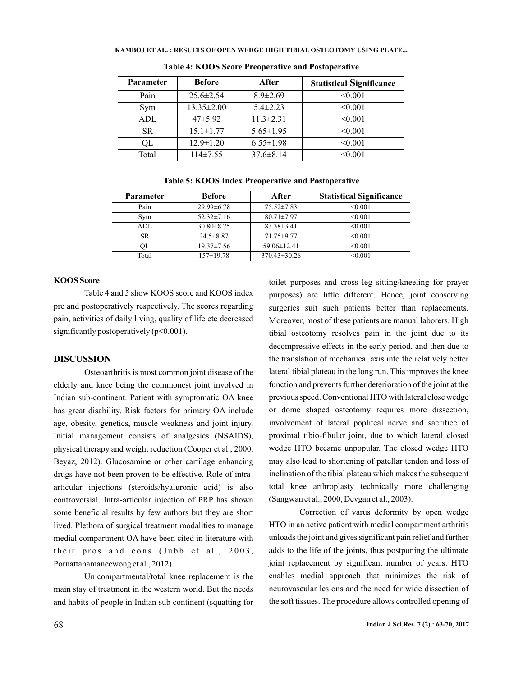#### **KAMBOJ ET AL. : RESULTS OF OPEN WEDGE HIGH TIBIAL OSTEOTOMY USING PLATE...**

| <b>Parameter</b> | <b>Before</b>    | After           | <b>Statistical Significance</b> |
|------------------|------------------|-----------------|---------------------------------|
| Pain             | $25.6 \pm 2.54$  | $8.9 \pm 2.69$  | < 0.001                         |
| Sym              | $13.35 \pm 2.00$ | $5.4 \pm 2.23$  | < 0.001                         |
| ADL              | $47\pm5.92$      | $11.3 \pm 2.31$ | < 0.001                         |
| <b>SR</b>        | $15.1 \pm 1.77$  | $5.65 \pm 1.95$ | < 0.001                         |
| OL               | $12.9 \pm 1.20$  | $6.55 \pm 1.98$ | < 0.001                         |
| Total            | $114\pm7.55$     | $37.6 \pm 8.14$ | < 0.001                         |

**Table 4: KOOS Score Preoperative and Postoperative**

|  |  | Table 5: KOOS Index Preoperative and Postoperative |
|--|--|----------------------------------------------------|
|--|--|----------------------------------------------------|

| <b>Parameter</b> | <b>Before</b>    | After              | <b>Statistical Significance</b> |
|------------------|------------------|--------------------|---------------------------------|
| Pain             | $29.99 \pm 6.78$ | $75.52 \pm 7.83$   | < 0.001                         |
| Sym              | $52.32 \pm 7.16$ | $80.71 \pm 7.97$   | < 0.001                         |
| ADL.             | $30.80 \pm 8.75$ | $83.38 \pm 3.41$   | < 0.001                         |
| SR.              | $24.5 \pm 8.87$  | 71.75 ± 9.77       | < 0.001                         |
| OL               | $19.37 \pm 7.56$ | $59.06\pm12.41$    | < 0.001                         |
| Total            | $157 \pm 19.78$  | $370.43 \pm 30.26$ | < 0.001                         |

#### **KOOS Score**

Table 4 and 5 show KOOS score and KOOS index pre and postoperatively respectively. The scores regarding pain, activities of daily living, quality of life etc decreased significantly postoperatively (p<0.001).

### **DISCUSSION**

Osteoarthritis is most common joint disease of the elderly and knee being the commonest joint involved in Indian sub-continent. Patient with symptomatic OA knee has great disability. Risk factors for primary OA include age, obesity, genetics, muscle weakness and joint injury. Initial management consists of analgesics (NSAIDS), physical therapy and weight reduction (Cooper et al., 2000, Beyaz, 2012). Glucosamine or other cartilage enhancing drugs have not been proven to be effective. Role of intraarticular injections (steroids/hyaluronic acid) is also controversial. Intra-articular injection of PRP has shown some beneficial results by few authors but they are short lived. Plethora of surgical treatment modalities to manage medial compartment OA have been cited in literature with their pros and cons (Jubb et al., 2003, Pornattanamaneewong et al., 2012).

Unicompartmental/total knee replacement is the main stay of treatment in the western world. But the needs and habits of people in Indian sub continent (squatting for toilet purposes and cross leg sitting/kneeling for prayer purposes) are little different. Hence, joint conserving surgeries suit such patients better than replacements. Moreover, most of these patients are manual laborers. High tibial osteotomy resolves pain in the joint due to its decompressive effects in the early period, and then due to the translation of mechanical axis into the relatively better lateral tibial plateau in the long run. This improves the knee function and prevents further deterioration of the joint at the previous speed. Conventional HTO with lateral close wedge or dome shaped osteotomy requires more dissection, involvement of lateral popliteal nerve and sacrifice of proximal tibio-fibular joint, due to which lateral closed wedge HTO became unpopular. The closed wedge HTO may also lead to shortening of patellar tendon and loss of inclination of the tibial plateau which makes the subsequent total knee arthroplasty technically more challenging (Sangwan et al., 2000, Devgan et al., 2003).

Correction of varus deformity by open wedge HTO in an active patient with medial compartment arthritis unloads the joint and gives significant pain relief and further adds to the life of the joints, thus postponing the ultimate joint replacement by significant number of years. HTO enables medial approach that minimizes the risk of neurovascular lesions and the need for wide dissection of the soft tissues. The procedure allows controlled opening of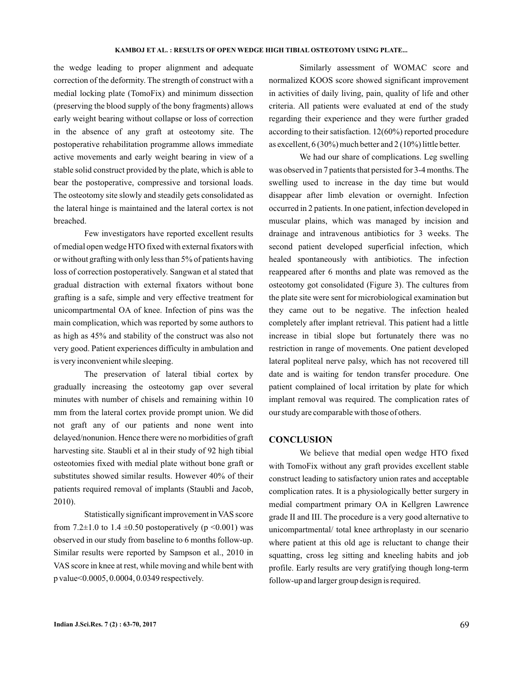#### **KAMBOJ ET AL. : RESULTS OF OPEN WEDGE HIGH TIBIAL OSTEOTOMY USING PLATE...**

the wedge leading to proper alignment and adequate correction of the deformity. The strength of construct with a medial locking plate (TomoFix) and minimum dissection (preserving the blood supply of the bony fragments) allows early weight bearing without collapse or loss of correction in the absence of any graft at osteotomy site. The postoperative rehabilitation programme allows immediate active movements and early weight bearing in view of a stable solid construct provided by the plate, which is able to bear the postoperative, compressive and torsional loads. The osteotomy site slowly and steadily gets consolidated as the lateral hinge is maintained and the lateral cortex is not breached.

Few investigators have reported excellent results of medial open wedge HTO fixed with external fixators with or without grafting with only less than 5% of patients having loss of correction postoperatively. Sangwan et al stated that gradual distraction with external fixators without bone grafting is a safe, simple and very effective treatment for unicompartmental OA of knee. Infection of pins was the main complication, which was reported by some authors to as high as 45% and stability of the construct was also not very good. Patient experiences difficulty in ambulation and is very inconvenient while sleeping.

The preservation of lateral tibial cortex by gradually increasing the osteotomy gap over several minutes with number of chisels and remaining within 10 mm from the lateral cortex provide prompt union. We did not graft any of our patients and none went into delayed/nonunion. Hence there were no morbidities of graft harvesting site. Staubli et al in their study of 92 high tibial osteotomies fixed with medial plate without bone graft or substitutes showed similar results. However 40% of their patients required removal of implants (Staubli and Jacob, 2010).

Statistically significant improvement in VAS score from 7.2 $\pm$ 1.0 to 1.4  $\pm$ 0.50 postoperatively (p <0.001) was observed in our study from baseline to 6 months follow-up. Similar results were reported by Sampson et al., 2010 in VAS score in knee at rest, while moving and while bent with p value<0.0005, 0.0004, 0.0349 respectively.

Similarly assessment of WOMAC score and normalized KOOS score showed significant improvement in activities of daily living, pain, quality of life and other criteria. All patients were evaluated at end of the study regarding their experience and they were further graded according to their satisfaction. 12(60%) reported procedure as excellent, 6 (30%) much better and 2 (10%) little better.

We had our share of complications. Leg swelling was observed in 7 patients that persisted for 3-4 months. The swelling used to increase in the day time but would disappear after limb elevation or overnight. Infection occurred in 2 patients. In one patient, infection developed in muscular plains, which was managed by incision and drainage and intravenous antibiotics for 3 weeks. The second patient developed superficial infection, which healed spontaneously with antibiotics. The infection reappeared after 6 months and plate was removed as the osteotomy got consolidated (Figure 3). The cultures from the plate site were sent for microbiological examination but they came out to be negative. The infection healed completely after implant retrieval. This patient had a little increase in tibial slope but fortunately there was no restriction in range of movements. One patient developed lateral popliteal nerve palsy, which has not recovered till date and is waiting for tendon transfer procedure. One patient complained of local irritation by plate for which implant removal was required. The complication rates of our study are comparable with those of others.

#### **CONCLUSION**

We believe that medial open wedge HTO fixed with TomoFix without any graft provides excellent stable construct leading to satisfactory union rates and acceptable complication rates. It is a physiologically better surgery in medial compartment primary OA in Kellgren Lawrence grade II and III. The procedure is a very good alternative to unicompartmental/ total knee arthroplasty in our scenario where patient at this old age is reluctant to change their squatting, cross leg sitting and kneeling habits and job profile. Early results are very gratifying though long-term follow-up and larger group design is required.